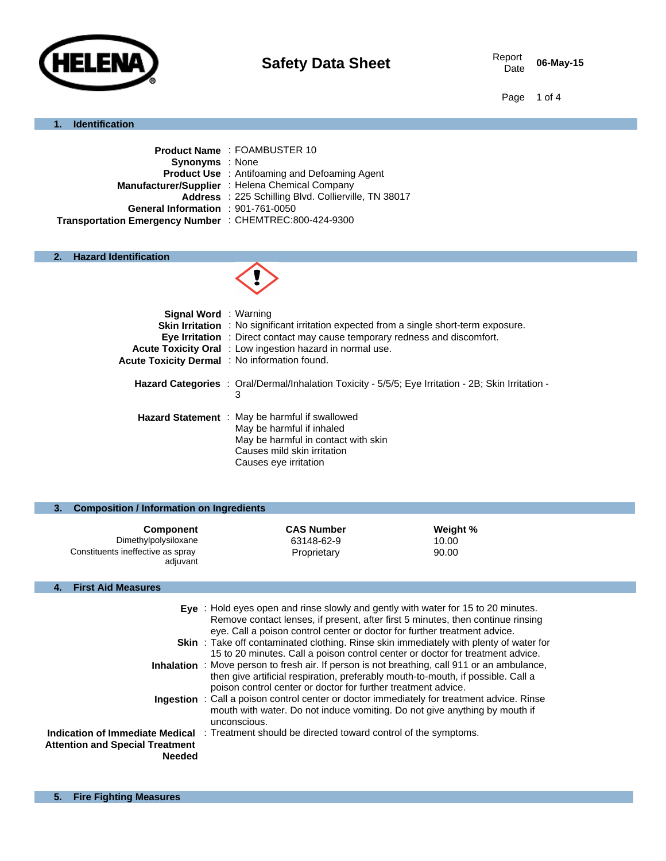

06-May-15

Page 1 of 4

#### **1. Identification**

|                                                         | <b>Product Name: FOAMBUSTER 10</b>                   |
|---------------------------------------------------------|------------------------------------------------------|
| <b>Synonyms</b> : None                                  |                                                      |
|                                                         | <b>Product Use</b> : Antifoaming and Defoaming Agent |
|                                                         | Manufacturer/Supplier: Helena Chemical Company       |
|                                                         | Address : 225 Schilling Blvd. Collierville, TN 38017 |
| General Information : 901-761-0050                      |                                                      |
| Transportation Emergency Number : CHEMTREC:800-424-9300 |                                                      |
|                                                         |                                                      |

# **2. Hazard Identification**



| <b>Signal Word</b> : Warning                 | <b>Skin Irritation</b> : No significant irritation expected from a single short-term exposure.<br><b>Eye Irritation</b> : Direct contact may cause temporary redness and discomfort. |
|----------------------------------------------|--------------------------------------------------------------------------------------------------------------------------------------------------------------------------------------|
| Acute Toxicity Dermal: No information found. | <b>Acute Toxicity Oral</b> : Low ingestion hazard in normal use.                                                                                                                     |
|                                              | Hazard Categories : Oral/Dermal/Inhalation Toxicity - 5/5/5; Eye Irritation - 2B; Skin Irritation -<br>3                                                                             |
|                                              | <b>Hazard Statement</b> : May be harmful if swallowed<br>May be harmful if inhaled<br>May be harmful in contact with skin<br>Causes mild skin irritation<br>Causes eye irritation    |

#### **3. Composition / Information on Ingredients**

| <b>Component</b>                              | <b>CAS Number</b> | Weight % |
|-----------------------------------------------|-------------------|----------|
| Dimethylpolysiloxane                          | 63148-62-9        | 10.00    |
| Constituents ineffective as spray<br>adiuvant | Proprietary       | 90.00    |

# **4. First Aid Measures**

|                                                  | Eye : Hold eyes open and rinse slowly and gently with water for 15 to 20 minutes.<br>Remove contact lenses, if present, after first 5 minutes, then continue rinsing<br>eye. Call a poison control center or doctor for further treatment advice.        |
|--------------------------------------------------|----------------------------------------------------------------------------------------------------------------------------------------------------------------------------------------------------------------------------------------------------------|
|                                                  | <b>Skin</b> : Take off contaminated clothing. Rinse skin immediately with plenty of water for                                                                                                                                                            |
|                                                  | 15 to 20 minutes. Call a poison control center or doctor for treatment advice.                                                                                                                                                                           |
|                                                  | <b>Inhalation</b> : Move person to fresh air. If person is not breathing, call 911 or an ambulance,<br>then give artificial respiration, preferably mouth-to-mouth, if possible. Call a<br>poison control center or doctor for further treatment advice. |
|                                                  | <b>Ingestion</b> : Call a poison control center or doctor immediately for treatment advice. Rinse<br>mouth with water. Do not induce vomiting. Do not give anything by mouth if<br>unconscious.                                                          |
| Attention and Special Treatment<br><b>Needed</b> | <b>Indication of Immediate Medical</b> : Treatment should be directed toward control of the symptoms.                                                                                                                                                    |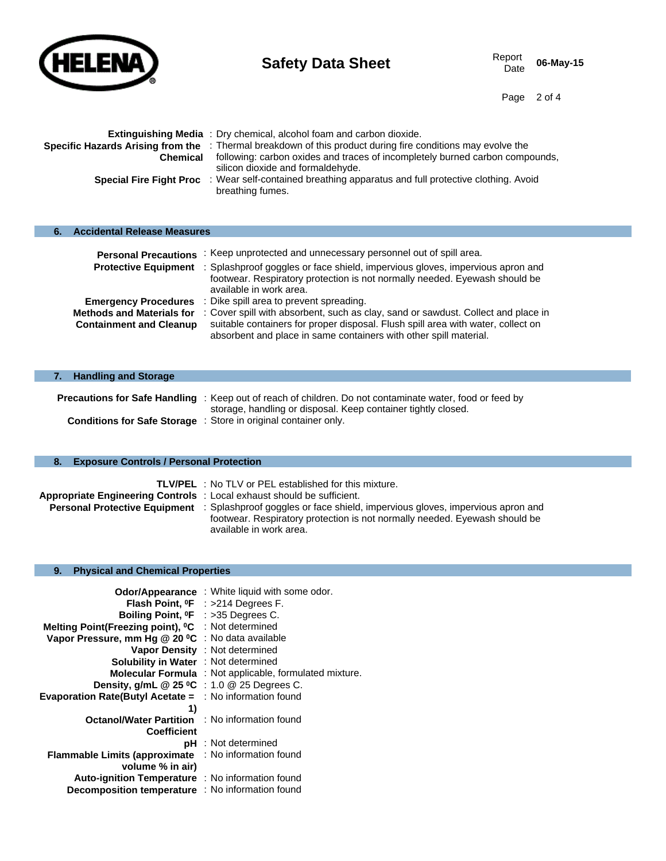

Page 2 of 4

| <b>Chemical</b> | <b>Extinguishing Media</b> : Dry chemical, alcohol foam and carbon dioxide.<br>Specific Hazards Arising from the : Thermal breakdown of this product during fire conditions may evolve the<br>following: carbon oxides and traces of incompletely burned carbon compounds,<br>silicon dioxide and formaldehyde. |
|-----------------|-----------------------------------------------------------------------------------------------------------------------------------------------------------------------------------------------------------------------------------------------------------------------------------------------------------------|
|                 | <b>Special Fire Fight Proc</b> : Wear self-contained breathing apparatus and full protective clothing. Avoid<br>breathing fumes.                                                                                                                                                                                |

| <b>Accidental Release Measures</b>                                 |                                                                                                                                                                                                                                            |
|--------------------------------------------------------------------|--------------------------------------------------------------------------------------------------------------------------------------------------------------------------------------------------------------------------------------------|
| <b>Personal Precautions</b>                                        | : Keep unprotected and unnecessary personnel out of spill area.                                                                                                                                                                            |
| <b>Protective Equipment</b>                                        | : Splashproof goggles or face shield, impervious gloves, impervious apron and<br>footwear. Respiratory protection is not normally needed. Eyewash should be<br>available in work area.                                                     |
| <b>Emergency Procedures</b>                                        | : Dike spill area to prevent spreading.                                                                                                                                                                                                    |
| <b>Methods and Materials for</b><br><b>Containment and Cleanup</b> | : Cover spill with absorbent, such as clay, sand or sawdust. Collect and place in<br>suitable containers for proper disposal. Flush spill area with water, collect on<br>absorbent and place in same containers with other spill material. |
|                                                                    |                                                                                                                                                                                                                                            |

| <b>Handling and Storage</b> |                                                                                                                                                                                  |
|-----------------------------|----------------------------------------------------------------------------------------------------------------------------------------------------------------------------------|
|                             | <b>Precautions for Safe Handling</b> : Keep out of reach of children. Do not contaminate water, food or feed by<br>storage, handling or disposal. Keep container tightly closed. |
|                             | <b>Conditions for Safe Storage</b> : Store in original container only.                                                                                                           |

# **8. Exposure Controls / Personal Protection**

|                                                                       | <b>TLV/PEL</b> : No TLV or PEL established for this mixture.                                                       |
|-----------------------------------------------------------------------|--------------------------------------------------------------------------------------------------------------------|
| Appropriate Engineering Controls: Local exhaust should be sufficient. |                                                                                                                    |
|                                                                       | <b>Personal Protective Equipment</b> : Splashproof goggles or face shield, impervious gloves, impervious apron and |
|                                                                       | footwear. Respiratory protection is not normally needed. Eyewash should be                                         |
|                                                                       | available in work area.                                                                                            |

## **9. Physical and Chemical Properties**

| Boiling Point, <sup>o</sup> F : >35 Degrees C.<br>Melting Point(Freezing point), <sup>o</sup> C : Not determined<br>Vapor Pressure, mm Hg @ 20 °C : No data available<br><b>Solubility in Water</b> : Not determined<br>Density, g/mL $@$ 25 °C : 1.0 $@$ 25 Degrees C. | Odor/Appearance: White liquid with some odor.<br>Flash Point, <sup>o</sup> F : >214 Degrees F.<br>Vapor Density : Not determined<br><b>Molecular Formula</b> : Not applicable, formulated mixture. |
|-------------------------------------------------------------------------------------------------------------------------------------------------------------------------------------------------------------------------------------------------------------------------|----------------------------------------------------------------------------------------------------------------------------------------------------------------------------------------------------|
| Evaporation Rate(Butyl Acetate = : No information found<br>1)                                                                                                                                                                                                           |                                                                                                                                                                                                    |
| <b>Octanol/Water Partition : No information found</b><br><b>Coefficient</b>                                                                                                                                                                                             |                                                                                                                                                                                                    |
|                                                                                                                                                                                                                                                                         | <b>pH</b> : Not determined                                                                                                                                                                         |
| <b>Flammable Limits (approximate)</b>                                                                                                                                                                                                                                   | : No information found                                                                                                                                                                             |
| volume % in air)                                                                                                                                                                                                                                                        |                                                                                                                                                                                                    |
| Auto-ignition Temperature : No information found                                                                                                                                                                                                                        |                                                                                                                                                                                                    |
| <b>Decomposition temperature</b> : No information found                                                                                                                                                                                                                 |                                                                                                                                                                                                    |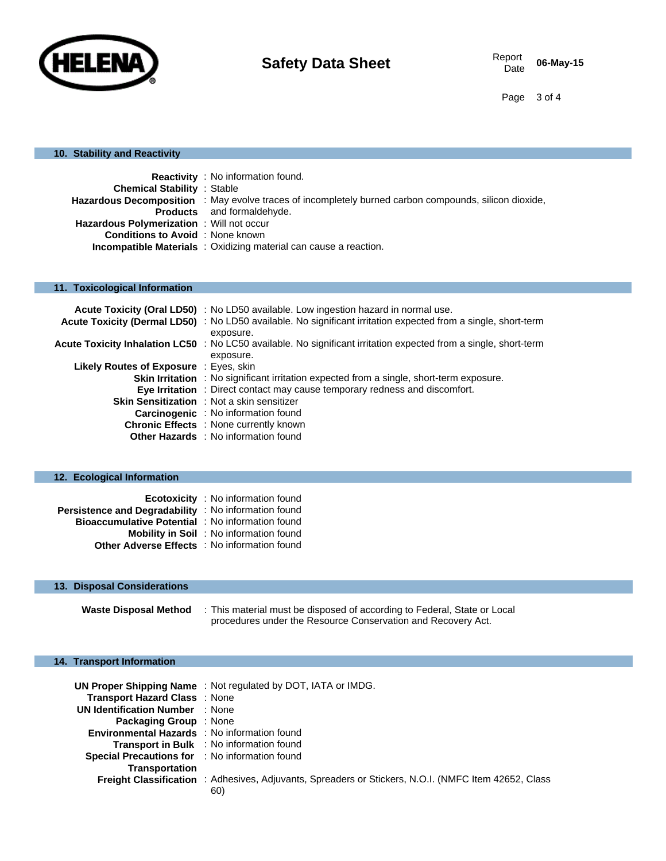

Page 3 of 4

#### **10. Stability and Reactivity**

|                                                  | <b>Reactivity</b> : No information found.                                                             |  |
|--------------------------------------------------|-------------------------------------------------------------------------------------------------------|--|
| <b>Chemical Stability : Stable</b>               |                                                                                                       |  |
|                                                  | Hazardous Decomposition : May evolve traces of incompletely burned carbon compounds, silicon dioxide, |  |
|                                                  | <b>Products</b> and formaldehyde.                                                                     |  |
| <b>Hazardous Polymerization</b> : Will not occur |                                                                                                       |  |
| <b>Conditions to Avoid</b> : None known          |                                                                                                       |  |
|                                                  | Incompatible Materials : Oxidizing material can cause a reaction.                                     |  |

# **11. Toxicological Information**

|                                               | Acute Toxicity (Oral LD50) : No LD50 available. Low ingestion hazard in normal use.                              |
|-----------------------------------------------|------------------------------------------------------------------------------------------------------------------|
|                                               | Acute Toxicity (Dermal LD50) : No LD50 available. No significant irritation expected from a single, short-term   |
|                                               | exposure.                                                                                                        |
|                                               | Acute Toxicity Inhalation LC50 : No LC50 available. No significant irritation expected from a single, short-term |
|                                               | exposure.                                                                                                        |
| <b>Likely Routes of Exposure</b> : Eyes, skin |                                                                                                                  |
|                                               | <b>Skin Irritation</b> : No significant irritation expected from a single, short-term exposure.                  |
|                                               | Eye Irritation : Direct contact may cause temporary redness and discomfort.                                      |
|                                               | <b>Skin Sensitization</b> : Not a skin sensitizer                                                                |
|                                               | <b>Carcinogenic</b> : No information found                                                                       |
|                                               | <b>Chronic Effects</b> : None currently known                                                                    |
|                                               | <b>Other Hazards</b> : No information found                                                                      |

#### **12. Ecological Information**

|                                                         | <b>Ecotoxicity</b> : No information found      |
|---------------------------------------------------------|------------------------------------------------|
| Persistence and Degradability : No information found    |                                                |
| <b>Bioaccumulative Potential : No information found</b> |                                                |
|                                                         | <b>Mobility in Soil</b> : No information found |
| <b>Other Adverse Effects</b> : No information found     |                                                |

# **13. Disposal Considerations**

**Waste Disposal Method** : This material must be disposed of according to Federal, State or Local procedures under the Resource Conservation and Recovery Act.

#### **14. Transport Information**

| <b>Transport Hazard Class : None</b>                | UN Proper Shipping Name: Not regulated by DOT, IATA or IMDG.                                                |
|-----------------------------------------------------|-------------------------------------------------------------------------------------------------------------|
|                                                     |                                                                                                             |
| <b>UN Identification Number : None</b>              |                                                                                                             |
| <b>Packaging Group</b> : None                       |                                                                                                             |
| <b>Environmental Hazards</b> : No information found |                                                                                                             |
| <b>Transport in Bulk</b> : No information found     |                                                                                                             |
| Special Precautions for : No information found      |                                                                                                             |
| <b>Transportation</b>                               |                                                                                                             |
|                                                     | Freight Classification : Adhesives, Adjuvants, Spreaders or Stickers, N.O.I. (NMFC Item 42652, Class<br>60) |